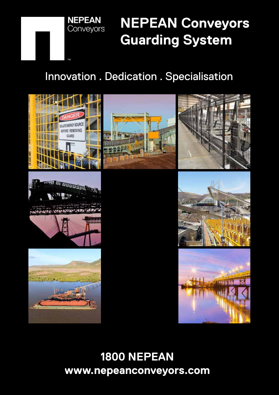# **1800 NEPEAN www.nepeanconveyors.com**







**NEPEAN Conveyors Guarding System**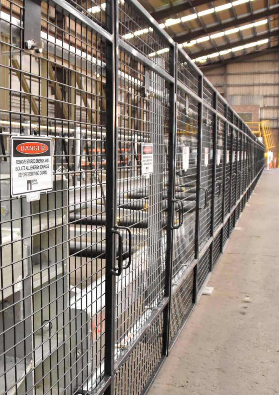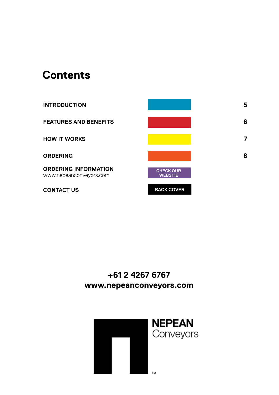### **Contents**



### **+61 2 4267 6767 www.nepeanconveyors.com**

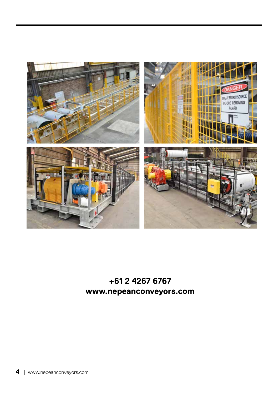

### **+61 2 4267 6767 www.nepeanconveyors.com**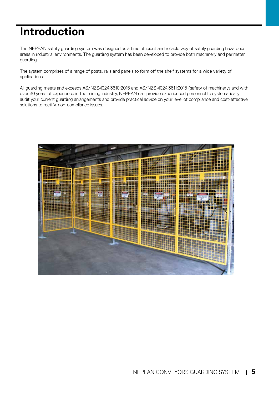## **Introduction**

The NEPEAN safety guarding system was designed as a time efficient and reliable way of safely guarding hazardous areas in industrial environments. The guarding system has been developed to provide both machinery and perimeter guarding.

The system comprises of a range of posts, rails and panels to form off the shelf systems for a wide variety of applications.

All guarding meets and exceeds AS/NZS4024.3610:2015 and AS/NZS 4024.3611:2015 (safety of machinery) and with over 30 years of experience in the mining industry, NEPEAN can provide experienced personnel to systematically audit your current guarding arrangements and provide practical advice on your level of compliance and cost-effective solutions to rectify. non-compliance issues.

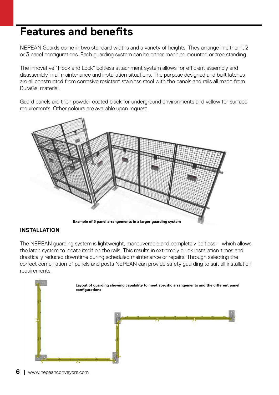## **Features and benefits**

NEPEAN Guards come in two standard widths and a variety of heights. They arrange in either 1, 2 or 3 panel configurations. Each guarding system can be either machine mounted or free standing.

The innovative "Hook and Lock" boltless attachment system allows for efficient assembly and disassembly in all maintenance and installation situations. The purpose designed and built latches are all constructed from corrosive resistant stainless steel with the panels and rails all made from DuraGal material.

Guard panels are then powder coated black for underground environments and yellow for surface requirements. Other colours are available upon request.



### **INSTALLATION**

The NEPEAN guarding system is lightweight, maneuverable and completely boltless - which allows the latch system to locate itself on the rails. This results in extremely quick installation times and drastically reduced downtime during scheduled maintenance or repairs. Through selecting the correct combination of panels and posts NEPEAN can provide safety guarding to suit all installation requirements.

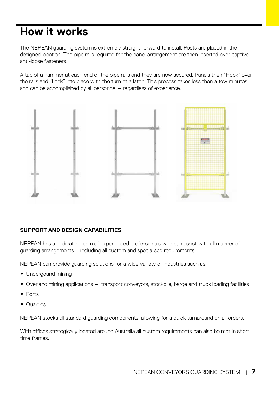## **How it works**

The NEPEAN guarding system is extremely straight forward to install. Posts are placed in the designed location. The pipe rails required for the panel arrangement are then inserted over captive anti-loose fasteners.

A tap of a hammer at each end of the pipe rails and they are now secured. Panels then "Hook" over the rails and "Lock" into place with the turn of a latch. This process takes less then a few minutes and can be accomplished by all personnel – regardless of experience.



### **SUPPORT AND DESIGN CAPABILITIES**

NEPEAN has a dedicated team of experienced professionals who can assist with all manner of guarding arrangements – including all custom and specialised requirements.

NEPEAN can provide guarding solutions for a wide variety of industries such as:

- Undergound mining
- Overland mining applications transport conveyors, stockpile, barge and truck loading facilities
- Ports
- Quarries

NEPEAN stocks all standard guarding components, allowing for a quick turnaround on all orders.

With offices strategically located around Australia all custom requirements can also be met in short time frames.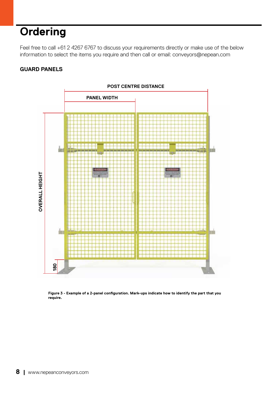# **Ordering**

Feel free to call +61 2 4267 6767 to discuss your requirements directly or make use of the below information to select the items you require and then call or email: conveyors@nepean.com

### **GUARD PANELS**



**POST CENTRE DISTANCE**

**Figure 3 - Example of a 2-panel configuration. Mark-ups indicate how to identify the part that you require.**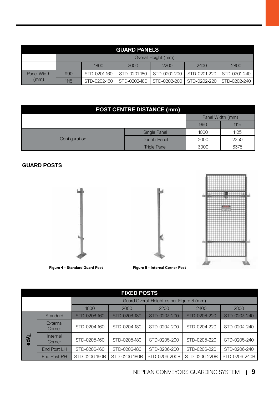| <b>GUARD PANELS</b> |                     |              |              |              |              |              |
|---------------------|---------------------|--------------|--------------|--------------|--------------|--------------|
|                     | Overall Height (mm) |              |              |              |              |              |
|                     |                     | 1800         | 2000         | 2200         | 2400         | 2800         |
| Panel Width<br>(mm) | 990                 | STD-0201-160 | STD-0201-180 | STD-0201-200 | STD-0201-220 | STD-0201-240 |
|                     | 1115                | STD-0202-160 | STD-0202-180 | STD-0202-200 | STD-0202-220 | STD-0202-240 |

| <b>POST CENTRE DISTANCE (mm)</b> |                     |      |      |  |  |
|----------------------------------|---------------------|------|------|--|--|
|                                  | Panel Width (mm)    |      |      |  |  |
|                                  |                     | 990  | 1115 |  |  |
|                                  | Single Panel        | 1000 | 1125 |  |  |
| Configuration                    | Double Panel        | 2000 | 2250 |  |  |
|                                  | <b>Triple Panel</b> | 3000 | 3375 |  |  |

#### **GUARD POSTS**





**Figure 4 - Standard Guard Post Figure 5 - Internal Corner Post**

| <b>FIXED POSTS</b> |                           |                                           |               |               |               |               |  |
|--------------------|---------------------------|-------------------------------------------|---------------|---------------|---------------|---------------|--|
|                    |                           | Guard Overall Height as per Figure 3 (mm) |               |               |               |               |  |
|                    |                           | 1800                                      | 2000          | 2200          | 2400          | 2800          |  |
| <b>Type</b>        | Standard                  | STD-0203-160                              | STD-0203-180  | STD-0203-200  | STD-0203-220  | STD-0203-240  |  |
|                    | External<br>Corner        | STD-0204-160                              | STD-0204-180  | STD-0204-200  | STD-0204-220  | STD-0204-240  |  |
|                    | <b>Internal</b><br>Corner | STD-0205-160                              | STD-0205-180  | STD-0205-200  | STD-0205-220  | STD-0205-240  |  |
|                    | End Post LH               | STD-0206-160                              | STD-0206-180  | STD-0206-200  | STD-0206-220  | STD-0206-240  |  |
|                    | End Post RH               | STD-0206-160B                             | STD-0206-180B | STD-0206-200B | STD-0206-220B | STD-0206-240B |  |

NEPEAN CONVEYORS GUARDING SYSTEM **| 9**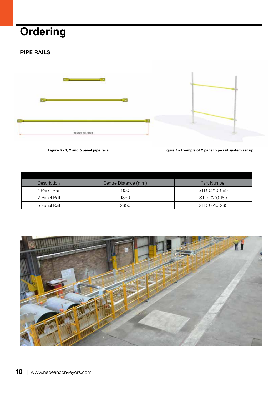# **Ordering**

### **PIPE RAILS**



**Figure 6 - 1, 2 and 3 panel pipe rails Figure 7 - Example of 2 panel pipe rail system set up**

| Description  | Centre Distance (mm) | <b>Part Number</b> |
|--------------|----------------------|--------------------|
| 1 Panel Rail | 850                  | STD-0210-085       |
| 2 Panel Rail | 1850                 | STD-0210-185       |
| 3 Panel Rail | 2850                 | STD-0210-285       |

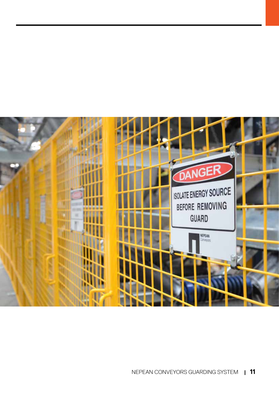